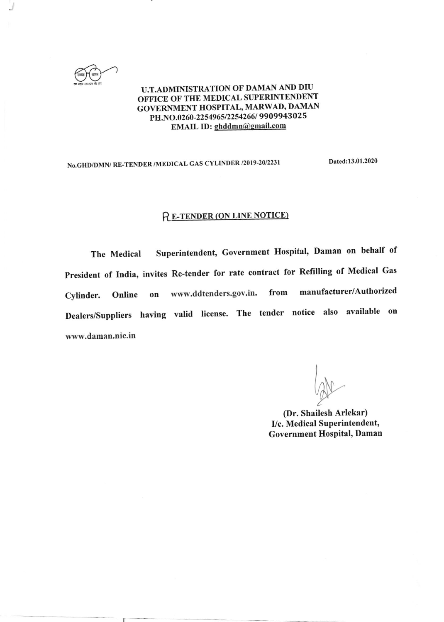

f

U.T.ADMINISTRATION OF DAMAN AND DIU OFFICE OF TIIE MEDICAL SUPERINTENDENT GOVERNMENT HOSPITAL, MARWAD, DAMAN PH.NO.0260-2254965/2254266/9909943025 EMAIL ID: ghddmn@gmail.com

No.GHD/DMNi RE-TENDER /MEDICAL GAS CYLINDER 12019-2012231 Dated:13.01.2020

### **FE-TENDER (ON LINE NOTICE)**

The Medical Superintendent, Government Hospital, Daman on behalf of President of India, invites Re-tender for rate contract for Refilling of Medical Gas Cylinder. Online on www.ddtenders.gov.in. from manufacturer/Authorized Dealers/Suppliers having valid license. The tender notice also available on www.daman.nic.in

lzp

(Dr. Shailesh Arlekar) I/c. Medical Superintendent, Government Hospital, Daman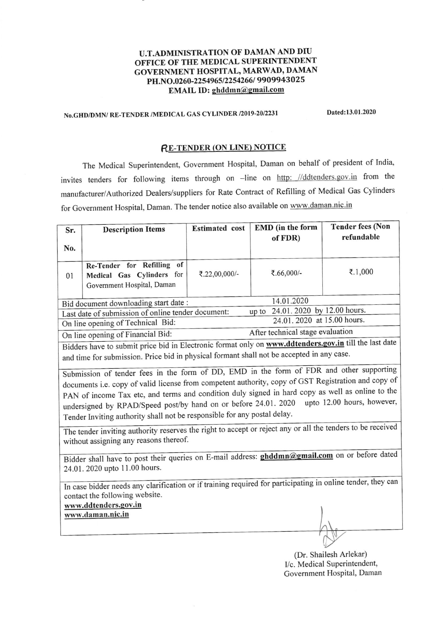#### U.T.ADMINISTRATION OF DAMAN AND DIU OFFICE OF THE MEDICAL SUPERINTENDENT GOVERNMENT HOSPITAL, MARWAD, DAMAN PH.NO.0260-2254965/2254266/9909943025 EMAIL ID: ghddmn@gmail.com

# No.GHD/DMN/ RE-TENDER /MEDICAL GAS CYLINDER /2019-20/2231 Dated:13.01.2020

### **RE-TENDER (ON LINE) NOTICE**

The Medical Superintendent, Govemment Hospital, Daman on behalf of president of India, invites tenders for following items through on -line on http: //ddtenders.gov.in from the manufacturer/Authorized Dealers/suppliers for Rate Contract of Refilling of Medical Gas Cylinders for Govemment Hospital, Daman. The tender notice also available on wwu,.daman.nic.in

| Sr.                                                                                                                                                  | <b>Description Items</b>                                                                              | <b>Estimated</b> cost | <b>EMD</b> (in the form | <b>Tender fees (Non</b> |  |  |
|------------------------------------------------------------------------------------------------------------------------------------------------------|-------------------------------------------------------------------------------------------------------|-----------------------|-------------------------|-------------------------|--|--|
|                                                                                                                                                      |                                                                                                       |                       | of FDR)                 | refundable              |  |  |
| No.                                                                                                                                                  |                                                                                                       |                       |                         |                         |  |  |
| 01                                                                                                                                                   | Re-Tender for Refilling of<br>Medical Gas Cylinders for                                               | ₹.22,00,000/-         | ₹.66,000/-              | ₹.1,000                 |  |  |
|                                                                                                                                                      | Government Hospital, Daman                                                                            |                       |                         |                         |  |  |
|                                                                                                                                                      | 14.01.2020<br>Bid document downloading start date:                                                    |                       |                         |                         |  |  |
| 24.01.2020 by 12.00 hours.<br>Last date of submission of online tender document:<br>up to                                                            |                                                                                                       |                       |                         |                         |  |  |
|                                                                                                                                                      | 24.01.2020 at 15.00 hours.<br>On line opening of Technical Bid:                                       |                       |                         |                         |  |  |
| After technical stage evaluation<br>On line opening of Financial Bid:                                                                                |                                                                                                       |                       |                         |                         |  |  |
|                                                                                                                                                      | Bidders have to submit price bid in Electronic format only on www.ddtenders.gov.in till the last date |                       |                         |                         |  |  |
|                                                                                                                                                      | and time for submission. Price bid in physical formant shall not be accepted in any case.             |                       |                         |                         |  |  |
| Submission of tender fees in the form of DD, EMD in the form of FDR and other supporting                                                             |                                                                                                       |                       |                         |                         |  |  |
| documents i.e. copy of valid license from competent authority, copy of GST Registration and copy of                                                  |                                                                                                       |                       |                         |                         |  |  |
| PAN of income Tax etc, and terms and condition duly signed in hard copy as well as online to the                                                     |                                                                                                       |                       |                         |                         |  |  |
| upto 12.00 hours, however,<br>undersigned by RPAD/Speed post/by hand on or before 24.01. 2020                                                        |                                                                                                       |                       |                         |                         |  |  |
| Tender Inviting authority shall not be responsible for any postal delay.                                                                             |                                                                                                       |                       |                         |                         |  |  |
|                                                                                                                                                      |                                                                                                       |                       |                         |                         |  |  |
| The tender inviting authority reserves the right to accept or reject any or all the tenders to be received<br>without assigning any reasons thereof. |                                                                                                       |                       |                         |                         |  |  |
| Bidder shall have to post their queries on E-mail address: ghddmn@gmail.com on or before dated                                                       |                                                                                                       |                       |                         |                         |  |  |
| 24.01. 2020 upto 11.00 hours.                                                                                                                        |                                                                                                       |                       |                         |                         |  |  |
| In case bidder needs any clarification or if training required for participating in online tender, they can                                          |                                                                                                       |                       |                         |                         |  |  |
| contact the following website.                                                                                                                       |                                                                                                       |                       |                         |                         |  |  |
| www.ddtenders.gov.in                                                                                                                                 |                                                                                                       |                       |                         |                         |  |  |
| www.daman.nic.in                                                                                                                                     |                                                                                                       |                       |                         |                         |  |  |
|                                                                                                                                                      |                                                                                                       |                       |                         |                         |  |  |
|                                                                                                                                                      |                                                                                                       |                       |                         |                         |  |  |

(Dr. Shailesh Arlekar) Uc. Medical Superintendent, Government Hospital, Daman